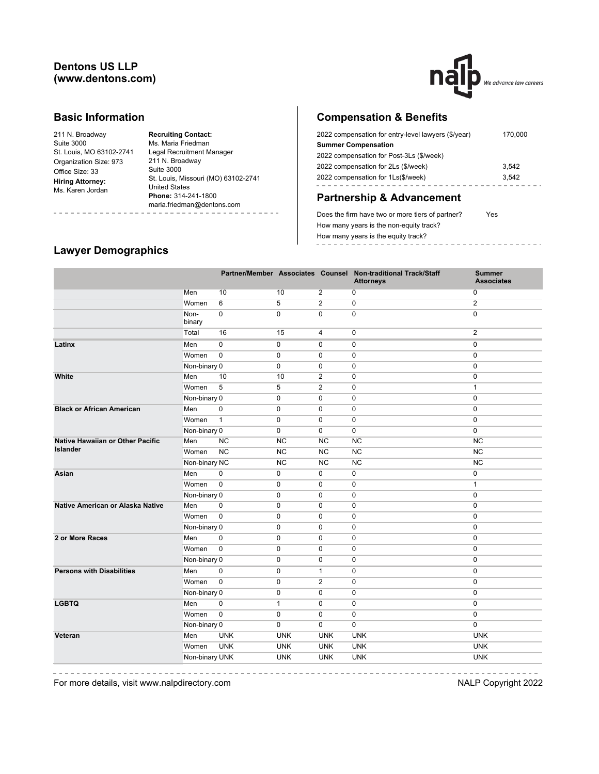### **Dentons US LLP (www.dentons.com)**



#### **Basic Information**

| 211 N. Broadway          |
|--------------------------|
| Suite 3000               |
| St. Louis, MO 63102-2741 |
| Organization Size: 973   |
| Office Size: 33          |
| <b>Hiring Attorney:</b>  |
| Ms. Karen Jordan         |
|                          |

**Recruiting Contact:** Ms. Maria Friedman Legal Recruitment Manager 211 N. Broadway Suite 3000 St. Louis, Missouri (MO) 63102-2741 United States **Phone:** 314-241-1800 maria.friedman@dentons.com . . . . . . . . . . . . . .

# **Compensation & Benefits**

| 2022 compensation for entry-level lawyers (\$/year) | 170.000 |
|-----------------------------------------------------|---------|
| <b>Summer Compensation</b>                          |         |
| 2022 compensation for Post-3Ls (\$/week)            |         |
| 2022 compensation for 2Ls (\$/week)                 | 3.542   |
| 2022 compensation for 1Ls(\$/week)                  | 3.542   |
|                                                     |         |

# **Partnership & Advancement**

Does the firm have two or more tiers of partner? Yes How many years is the non-equity track? How many years is the equity track? -----------------

#### **Lawyer Demographics**

----------

|                                         |                |              |              |                | Partner/Member Associates Counsel Non-traditional Track/Staff<br><b>Attorneys</b> | <b>Summer</b><br><b>Associates</b> |
|-----------------------------------------|----------------|--------------|--------------|----------------|-----------------------------------------------------------------------------------|------------------------------------|
|                                         | Men            | 10           | 10           | $\overline{2}$ | $\overline{0}$                                                                    | 0                                  |
|                                         | Women          | 6            | 5            | $\overline{2}$ | 0                                                                                 | $\overline{2}$                     |
|                                         | Non-<br>binary | $\mathbf 0$  | $\mathbf 0$  | $\mathbf 0$    | $\mathbf 0$                                                                       | $\mathbf 0$                        |
|                                         | Total          | 16           | 15           | $\overline{4}$ | $\overline{0}$                                                                    | $\overline{2}$                     |
| Latinx                                  | Men            | $\mathbf 0$  | $\mathbf 0$  | $\mathbf 0$    | $\mathbf 0$                                                                       | $\mathbf 0$                        |
|                                         | Women          | $\mathbf 0$  | $\mathbf 0$  | $\mathbf 0$    | $\mathbf 0$                                                                       | $\mathbf 0$                        |
|                                         | Non-binary 0   |              | $\mathbf 0$  | $\mathbf 0$    | $\mathbf 0$                                                                       | $\mathbf 0$                        |
| White                                   | Men            | 10           | 10           | $\overline{2}$ | $\mathbf 0$                                                                       | $\mathbf 0$                        |
|                                         | Women          | 5            | 5            | $\overline{2}$ | $\mathbf 0$                                                                       | $\mathbf{1}$                       |
|                                         | Non-binary 0   |              | 0            | $\mathbf 0$    | $\mathbf 0$                                                                       | $\mathbf 0$                        |
| <b>Black or African American</b>        | Men            | 0            | 0            | 0              | 0                                                                                 | $\mathbf 0$                        |
|                                         | Women          | $\mathbf{1}$ | 0            | $\mathbf 0$    | 0                                                                                 | $\mathbf 0$                        |
|                                         | Non-binary 0   |              | 0            | $\mathbf 0$    | 0                                                                                 | $\pmb{0}$                          |
| <b>Native Hawaiian or Other Pacific</b> | Men            | <b>NC</b>    | <b>NC</b>    | <b>NC</b>      | <b>NC</b>                                                                         | <b>NC</b>                          |
| <b>Islander</b>                         | Women          | <b>NC</b>    | <b>NC</b>    | <b>NC</b>      | <b>NC</b>                                                                         | <b>NC</b>                          |
|                                         | Non-binary NC  |              | <b>NC</b>    | NC             | <b>NC</b>                                                                         | NC                                 |
| Asian                                   | Men            | 0            | 0            | 0              | 0                                                                                 | 0                                  |
|                                         | Women          | $\pmb{0}$    | 0            | $\mathbf 0$    | 0                                                                                 | $\mathbf{1}$                       |
|                                         | Non-binary 0   |              | $\mathbf 0$  | $\mathbf 0$    | 0                                                                                 | $\mathbf 0$                        |
| Native American or Alaska Native        | Men            | $\mathbf 0$  | 0            | $\mathbf 0$    | $\mathbf 0$                                                                       | $\mathbf 0$                        |
|                                         | Women          | $\mathbf 0$  | 0            | $\mathbf 0$    | 0                                                                                 | $\mathbf 0$                        |
|                                         | Non-binary 0   |              | $\mathbf 0$  | $\mathbf 0$    | 0                                                                                 | $\mathbf 0$                        |
| 2 or More Races                         | Men            | $\mathbf 0$  | $\mathbf 0$  | $\mathbf 0$    | $\mathbf 0$                                                                       | $\mathbf 0$                        |
|                                         | Women          | $\mathbf 0$  | $\mathbf 0$  | $\mathbf 0$    | $\mathbf 0$                                                                       | $\mathbf 0$                        |
|                                         | Non-binary 0   |              | 0            | $\mathbf 0$    | 0                                                                                 | $\pmb{0}$                          |
| <b>Persons with Disabilities</b>        | Men            | $\mathbf 0$  | 0            | $\mathbf{1}$   | 0                                                                                 | $\mathbf 0$                        |
|                                         | Women          | $\Omega$     | $\mathbf 0$  | $\overline{2}$ | $\mathbf 0$                                                                       | $\mathbf 0$                        |
|                                         | Non-binary 0   |              | $\mathbf 0$  | $\mathbf 0$    | $\mathbf 0$                                                                       | $\mathbf 0$                        |
| <b>LGBTQ</b>                            | Men            | $\mathbf 0$  | $\mathbf{1}$ | $\mathbf 0$    | 0                                                                                 | $\mathbf 0$                        |
|                                         | Women          | $\mathbf 0$  | 0            | $\mathbf 0$    | 0                                                                                 | $\mathbf 0$                        |
|                                         | Non-binary 0   |              | 0            | $\mathbf 0$    | $\mathbf 0$                                                                       | $\mathbf 0$                        |
| Veteran                                 | Men            | <b>UNK</b>   | <b>UNK</b>   | <b>UNK</b>     | <b>UNK</b>                                                                        | <b>UNK</b>                         |
|                                         | Women          | <b>UNK</b>   | <b>UNK</b>   | <b>UNK</b>     | <b>UNK</b>                                                                        | <b>UNK</b>                         |
|                                         | Non-binary UNK |              | <b>UNK</b>   | <b>UNK</b>     | <b>UNK</b>                                                                        | <b>UNK</b>                         |
|                                         |                |              |              |                |                                                                                   |                                    |

 $- - - - -$ 

---------------For more details, visit www.nalpdirectory.com **NALP** Copyright 2022

-----------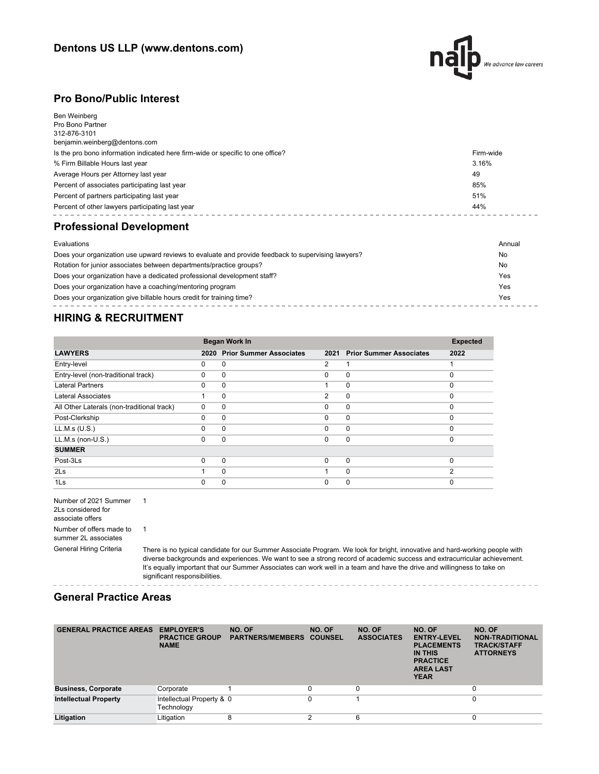

#### **Pro Bono/Public Interest**

| Ben Weinberg<br>Pro Bono Partner<br>312-876-3101<br>benjamin.weinberg@dentons.com |           |
|-----------------------------------------------------------------------------------|-----------|
| Is the pro bono information indicated here firm-wide or specific to one office?   | Firm-wide |
| % Firm Billable Hours last year                                                   | 3.16%     |
| Average Hours per Attorney last year                                              | 49        |
| Percent of associates participating last year                                     | 85%       |
| Percent of partners participating last year                                       | 51%       |
| Percent of other lawyers participating last year                                  | 44%       |
| <b>Professional Development</b>                                                   |           |
| Evaluations                                                                       | Annual    |

| Does your organization use upward reviews to evaluate and provide feedback to supervising lawyers? | No  |
|----------------------------------------------------------------------------------------------------|-----|
| Rotation for junior associates between departments/practice groups?                                | No  |
| Does your organization have a dedicated professional development staff?                            | Yes |
| Does your organization have a coaching/mentoring program                                           | Yes |
| Does your organization give billable hours credit for training time?                               | Yes |

### **HIRING & RECRUITMENT**

|                                            | <b>Began Work In</b> |                                |                |                                |          |  |
|--------------------------------------------|----------------------|--------------------------------|----------------|--------------------------------|----------|--|
| <b>LAWYERS</b>                             | 2020                 | <b>Prior Summer Associates</b> | 2021           | <b>Prior Summer Associates</b> | 2022     |  |
| Entry-level                                | 0                    | 0                              | $\overline{2}$ |                                |          |  |
| Entry-level (non-traditional track)        | 0                    | 0                              | $\Omega$       | $\mathbf 0$                    | $\Omega$ |  |
| <b>Lateral Partners</b>                    | $\Omega$             | $\Omega$                       |                | $\Omega$                       | $\Omega$ |  |
| Lateral Associates                         |                      | $\Omega$                       | $\overline{2}$ | $\mathbf 0$                    | $\Omega$ |  |
| All Other Laterals (non-traditional track) | $\Omega$             | 0                              | $\Omega$       | $\mathbf 0$                    | $\Omega$ |  |
| Post-Clerkship                             | 0                    | $\Omega$                       | $\Omega$       | $\Omega$                       | $\Omega$ |  |
| LL.M.s (U.S.)                              | $\Omega$             | $\Omega$                       | $\Omega$       | $\mathbf 0$                    | $\Omega$ |  |
| LL.M.s (non-U.S.)                          | $\Omega$             | $\Omega$                       | $\Omega$       | $\mathbf 0$                    | $\Omega$ |  |
| <b>SUMMER</b>                              |                      |                                |                |                                |          |  |
| Post-3Ls                                   | $\Omega$             | $\Omega$                       | $\Omega$       | $\mathbf 0$                    | $\Omega$ |  |
| 2 <sub>ls</sub>                            |                      | $\Omega$                       |                | $\Omega$                       | ◠        |  |
| 1Ls                                        | 0                    | 0                              | 0              | 0                              |          |  |

 $- - - -$ 

Number of 2021 Summer 1 2Ls considered for associate offers Number of offers made to 1 summer 2L associates

General Hiring Criteria There is no typical candidate for our Summer Associate Program. We look for bright, innovative and hard-working people with diverse backgrounds and experiences. We want to see a strong record of academic success and extracurricular achievement. It's equally important that our Summer Associates can work well in a team and have the drive and willingness to take on significant responsibilities.

#### **General Practice Areas**

| <b>GENERAL PRACTICE AREAS</b> | <b>EMPLOYER'S</b><br><b>PRACTICE GROUP</b><br><b>NAME</b> | NO. OF<br><b>PARTNERS/MEMBERS COUNSEL</b> | NO. OF | NO. OF<br><b>ASSOCIATES</b> | NO. OF<br><b>ENTRY-LEVEL</b><br><b>PLACEMENTS</b><br>IN THIS<br><b>PRACTICE</b><br><b>AREA LAST</b><br><b>YEAR</b> | NO. OF<br><b>NON-TRADITIONAL</b><br><b>TRACK/STAFF</b><br><b>ATTORNEYS</b> |
|-------------------------------|-----------------------------------------------------------|-------------------------------------------|--------|-----------------------------|--------------------------------------------------------------------------------------------------------------------|----------------------------------------------------------------------------|
| <b>Business, Corporate</b>    | Corporate                                                 |                                           |        |                             |                                                                                                                    | 0                                                                          |
| <b>Intellectual Property</b>  | Intellectual Property & 0<br>Technology                   |                                           |        |                             |                                                                                                                    | 0                                                                          |
| Litigation                    | Litigation                                                | 8                                         | $\sim$ | 6                           |                                                                                                                    | 0                                                                          |